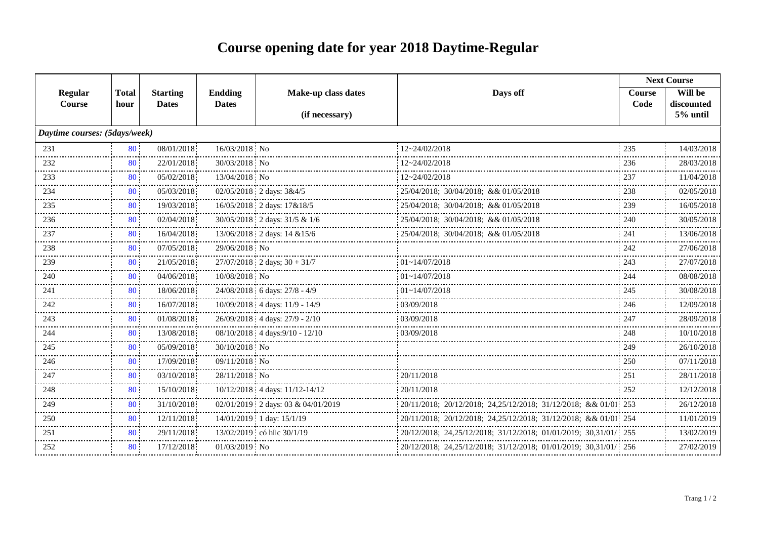## **Course opening date for year 2018 Daytime-Regular**

|                               |              |                 |                |                                                                |                                                                   | <b>Next Course</b> |                        |  |
|-------------------------------|--------------|-----------------|----------------|----------------------------------------------------------------|-------------------------------------------------------------------|--------------------|------------------------|--|
| <b>Regular</b>                | <b>Total</b> | <b>Starting</b> | <b>Endding</b> | Make-up class dates                                            | Days off                                                          | <b>Course</b>      | Will be                |  |
| Course                        | hour         | <b>Dates</b>    | <b>Dates</b>   | (if necessary)                                                 |                                                                   | Code               | discounted<br>5% until |  |
|                               |              |                 |                |                                                                |                                                                   |                    |                        |  |
| Daytime courses: (5days/week) |              |                 |                |                                                                |                                                                   |                    |                        |  |
| 231                           | 80           | 08/01/2018      | 16/03/2018 No  |                                                                | 12~24/02/2018                                                     | 235                | 14/03/2018             |  |
| 232                           | 80           | 22/01/2018      | 30/03/2018 No  |                                                                | $12 - 24/02/2018$                                                 | 236                | 28/03/2018             |  |
| 233                           | 80           | 05/02/2018      | 13/04/2018 No  |                                                                | $12 - 24/02/2018$                                                 | 237                | 11/04/2018             |  |
| 234                           | 80           | 05/03/2018      |                | 02/05/2018 2 days: 3&4/5                                       | 25/04/2018; 30/04/2018; && 01/05/2018                             | 238                | 02/05/2018             |  |
| 235                           | 80           | 19/03/2018      |                | 16/05/2018 2 days: 17&18/5                                     | 25/04/2018; 30/04/2018; && 01/05/2018                             | 239                | 16/05/2018             |  |
| 236                           | 80           | 02/04/2018      |                | 30/05/2018 2 days: 31/5 & 1/6                                  | 25/04/2018; 30/04/2018; & & 01/05/2018                            | 240                | 30/05/2018             |  |
| 237                           | 80           | 16/04/2018      |                | 13/06/2018 2 days: 14 & 15/6                                   | 25/04/2018; 30/04/2018; && 01/05/2018                             | 241                | 13/06/2018             |  |
| 238                           | 80           | 07/05/2018      | 29/06/2018 No  |                                                                |                                                                   | 242                | 27/06/2018             |  |
| 239                           | 80           | 21/05/2018      |                | $27/07/2018$ 2 days; $30 + 31/7$                               | $01 - 14/07/2018$                                                 | 243                | 27/07/2018             |  |
| 240                           | 80           | 04/06/2018      | 10/08/2018 No  |                                                                | $01 - 14/07/2018$                                                 | 244                | 08/08/2018             |  |
| 241                           | 80           | 18/06/2018      |                | 24/08/2018 6 days: 27/8 - 4/9                                  | $01 - 14/07/2018$                                                 | 245                | 30/08/2018             |  |
| 242                           | 80           | 16/07/2018      |                | 10/09/2018 4 days: 11/9 - 14/9                                 | 03/09/2018                                                        | 246                | 12/09/2018             |  |
| 243                           | 80           | 01/08/2018      |                | 26/09/2018 4 days: 27/9 - 2/10<br>---------------------------- | 03/09/2018                                                        | 247                | 28/09/2018             |  |
| 244                           | 80           | 13/08/2018      |                | 08/10/2018 4 days: 9/10 - 12/10                                | 03/09/2018                                                        | 248                | 10/10/2018             |  |
| 245                           | 80           | 05/09/2018      | 30/10/2018 No  |                                                                |                                                                   | 249                | 26/10/2018             |  |
| 246                           | 80           | 17/09/2018      | 09/11/2018 No  |                                                                |                                                                   | 250                | 07/11/2018             |  |
| 247                           | 80           | 03/10/2018      | 28/11/2018 No  |                                                                | 20/11/2018                                                        | 251                | 28/11/2018             |  |
| 248                           | 80           | 15/10/2018      |                | 10/12/2018 4 days: 11/12-14/12<br>-------------------------    | 20/11/2018                                                        | 252                | 12/12/2018             |  |
| 249                           | 80           | 31/10/2018      |                | 02/01/2019 2 days: 03 & 04/01/2019                             | 20/11/2018; 20/12/2018; 24,25/12/2018; 31/12/2018; & 01/01 253    |                    | 26/12/2018             |  |
| 250                           | 80           | 12/11/2018      |                | 14/01/2019 1 day: 15/1/19                                      | 20/11/2018; 20/12/2018; 24,25/12/2018; 31/12/2018; & & 01/01; 254 |                    | 11/01/2019             |  |
| 251                           | 80           | 29/11/2018      |                | 13/02/2019 có h c 30/1/19                                      | 20/12/2018; 24.25/12/2018; 31/12/2018; 01/01/2019; 30.31/01/ 255  |                    | 13/02/2019             |  |
| 252                           | 80           | 17/12/2018      | 01/03/2019 No  |                                                                | 20/12/2018; 24,25/12/2018; 31/12/2018; 01/01/2019; 30,31/01/ 256  |                    | 27/02/2019             |  |